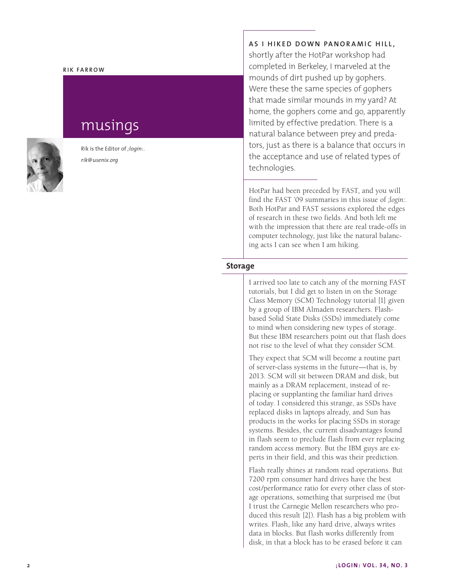#### **Rik Fa rr o w**

# musings



Rik is the Editor of *;login:* . *rik@usenix.org*

### **As I h i ked down P a nor a m i c Hi ll,**

shortly after the HotPar workshop had completed in Berkeley, I marveled at the mounds of dirt pushed up by gophers. Were these the same species of gophers that made similar mounds in my yard? At home, the gophers come and go, apparently limited by effective predation. There is a natural balance between prey and preda tors, just as there is a balance that occurs in the acceptance and use of related types of technologies.

HotPar had been preceded by FAST, and you will find the FAST '09 summaries in this issue of *;login:*. Both HotPar and FAST sessions explored the edges of research in these two fields. And both left me with the impression that there are real trade-offs in computer technology, just like the natural balanc ing acts I can see when I am hiking.

## **Storage**

I arrived too late to catch any of the morning FAST tutorials, but I did get to listen in on the Storage Class Memory (SCM) Technology tutorial [1] given by a group of IBM Almaden researchers. Flashbased Solid State Disks (SSDs) immediately come to mind when considering new types of storage. But these IBM researchers point out that flash does not rise to the level of what they consider SCM.

They expect that SCM will become a routine part of server-class systems in the future—that is, by 2013. SCM will sit between DRAM and disk, but mainly as a DRAM replacement, instead of re placing or supplanting the familiar hard drives of today. I considered this strange, as SSDs have replaced disks in laptops already, and Sun has products in the works for placing SSDs in storage systems. Besides, the current disadvantages found in flash seem to preclude flash from ever replacing random access memory. But the IBM guys are ex perts in their field, and this was their prediction.

Flash really shines at random read operations. But 7200 rpm consumer hard drives have the best cost/performance ratio for every other class of stor age operations, something that surprised me (but I trust the Carnegie Mellon researchers who pro duced this result [2]). Flash has a big problem with writes. Flash, like any hard drive, always writes data in blocks. But flash works differently from disk, in that a block has to be erased before it can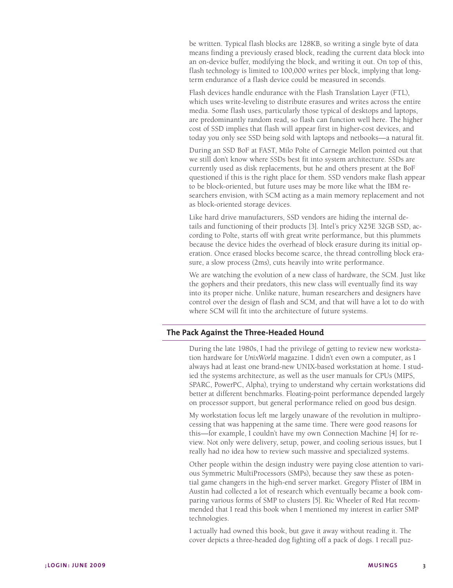be written. Typical flash blocks are 128KB, so writing a single byte of data means finding a previously erased block, reading the current data block into an on-device buffer, modifying the block, and writing it out. On top of this, flash technology is limited to 100,000 writes per block, implying that longterm endurance of a flash device could be measured in seconds.

Flash devices handle endurance with the Flash Translation Layer (FTL), which uses write-leveling to distribute erasures and writes across the entire media. Some flash uses, particularly those typical of desktops and laptops, are predominantly random read, so flash can function well here. The higher cost of SSD implies that flash will appear first in higher-cost devices, and today you only see SSD being sold with laptops and netbooks—a natural fit.

During an SSD BoF at FAST, Milo Polte of Carnegie Mellon pointed out that we still don't know where SSDs best fit into system architecture. SSDs are currently used as disk replacements, but he and others present at the BoF questioned if this is the right place for them. SSD vendors make flash appear to be block-oriented, but future uses may be more like what the IBM researchers envision, with SCM acting as a main memory replacement and not as block-oriented storage devices.

Like hard drive manufacturers, SSD vendors are hiding the internal details and functioning of their products [3]. Intel's pricy X25E 32GB SSD, according to Polte, starts off with great write performance, but this plummets because the device hides the overhead of block erasure during its initial operation. Once erased blocks become scarce, the thread controlling block erasure, a slow process (2ms), cuts heavily into write performance.

We are watching the evolution of a new class of hardware, the SCM. Just like the gophers and their predators, this new class will eventually find its way into its proper niche. Unlike nature, human researchers and designers have control over the design of flash and SCM, and that will have a lot to do with where SCM will fit into the architecture of future systems.

# **The Pack Against the Three-Headed Hound**

During the late 1980s, I had the privilege of getting to review new workstation hardware for *UnixWorld* magazine. I didn't even own a computer, as I always had at least one brand-new UNIX-based workstation at home. I studied the systems architecture, as well as the user manuals for CPUs (MIPS, SPARC, PowerPC, Alpha), trying to understand why certain workstations did better at different benchmarks. Floating-point performance depended largely on processor support, but general performance relied on good bus design.

My workstation focus left me largely unaware of the revolution in multiprocessing that was happening at the same time. There were good reasons for this—for example, I couldn't have my own Connection Machine [4] for review. Not only were delivery, setup, power, and cooling serious issues, but I really had no idea how to review such massive and specialized systems.

Other people within the design industry were paying close attention to various Symmetric MultiProcessors (SMPs), because they saw these as potential game changers in the high-end server market. Gregory Pfister of IBM in Austin had collected a lot of research which eventually became a book comparing various forms of SMP to clusters [5]. Ric Wheeler of Red Hat recommended that I read this book when I mentioned my interest in earlier SMP technologies.

I actually had owned this book, but gave it away without reading it. The cover depicts a three-headed dog fighting off a pack of dogs. I recall puz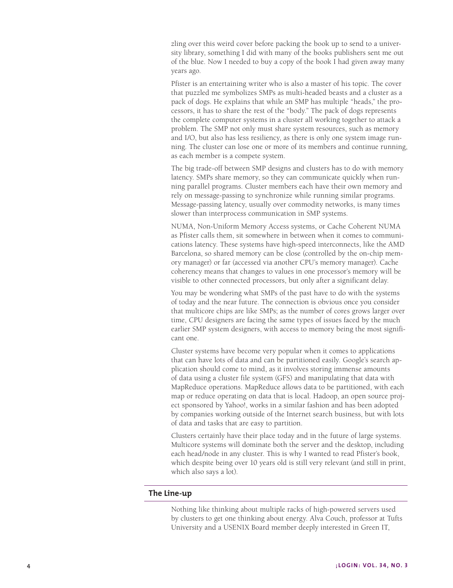zling over this weird cover before packing the book up to send to a university library, something I did with many of the books publishers sent me out of the blue. Now I needed to buy a copy of the book I had given away many years ago.

Pfister is an entertaining writer who is also a master of his topic. The cover that puzzled me symbolizes SMPs as multi-headed beasts and a cluster as a pack of dogs. He explains that while an SMP has multiple "heads," the processors, it has to share the rest of the "body." The pack of dogs represents the complete computer systems in a cluster all working together to attack a problem. The SMP not only must share system resources, such as memory and I/O, but also has less resiliency, as there is only one system image running. The cluster can lose one or more of its members and continue running, as each member is a compete system.

The big trade-off between SMP designs and clusters has to do with memory latency. SMPs share memory, so they can communicate quickly when running parallel programs. Cluster members each have their own memory and rely on message-passing to synchronize while running similar programs. Message-passing latency, usually over commodity networks, is many times slower than interprocess communication in SMP systems.

NUMA, Non-Uniform Memory Access systems, or Cache Coherent NUMA as Pfister calls them, sit somewhere in between when it comes to communications latency. These systems have high-speed interconnects, like the AMD Barcelona, so shared memory can be close (controlled by the on-chip memory manager) or far (accessed via another CPU's memory manager). Cache coherency means that changes to values in one processor's memory will be visible to other connected processors, but only after a significant delay.

You may be wondering what SMPs of the past have to do with the systems of today and the near future. The connection is obvious once you consider that multicore chips are like SMPs; as the number of cores grows larger over time, CPU designers are facing the same types of issues faced by the much earlier SMP system designers, with access to memory being the most significant one.

Cluster systems have become very popular when it comes to applications that can have lots of data and can be partitioned easily. Google's search application should come to mind, as it involves storing immense amounts of data using a cluster file system (GFS) and manipulating that data with MapReduce operations. MapReduce allows data to be partitioned, with each map or reduce operating on data that is local. Hadoop, an open source project sponsored by Yahoo!, works in a similar fashion and has been adopted by companies working outside of the Internet search business, but with lots of data and tasks that are easy to partition.

Clusters certainly have their place today and in the future of large systems. Multicore systems will dominate both the server and the desktop, including each head/node in any cluster. This is why I wanted to read Pfister's book, which despite being over 10 years old is still very relevant (and still in print, which also says a lot).

## **The Line-up**

Nothing like thinking about multiple racks of high-powered servers used by clusters to get one thinking about energy. Alva Couch, professor at Tufts University and a USENIX Board member deeply interested in Green IT,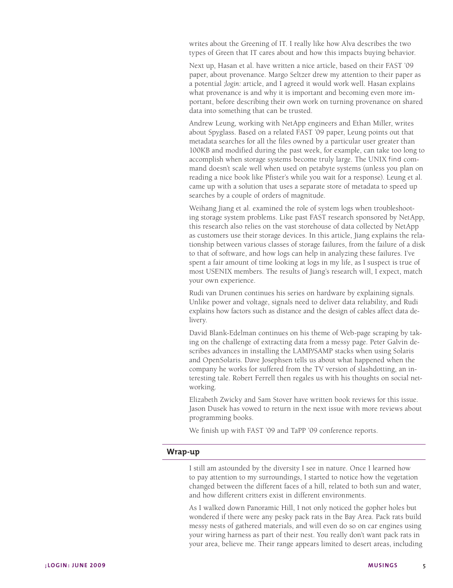writes about the Greening of IT. I really like how Alva describes the two types of Green that IT cares about and how this impacts buying behavior.

Next up, Hasan et al. have written a nice article, based on their FAST '09 paper, about provenance. Margo Seltzer drew my attention to their paper as a potential *;login:* article, and I agreed it would work well. Hasan explains what provenance is and why it is important and becoming even more important, before describing their own work on turning provenance on shared data into something that can be trusted.

Andrew Leung, working with NetApp engineers and Ethan Miller, writes about Spyglass. Based on a related FAST '09 paper, Leung points out that metadata searches for all the files owned by a particular user greater than 100KB and modified during the past week, for example, can take too long to accomplish when storage systems become truly large. The UNIX find command doesn't scale well when used on petabyte systems (unless you plan on reading a nice book like Pfister's while you wait for a response). Leung et al. came up with a solution that uses a separate store of metadata to speed up searches by a couple of orders of magnitude.

Weihang Jiang et al. examined the role of system logs when troubleshooting storage system problems. Like past FAST research sponsored by NetApp, this research also relies on the vast storehouse of data collected by NetApp as customers use their storage devices. In this article, Jiang explains the relationship between various classes of storage failures, from the failure of a disk to that of software, and how logs can help in analyzing these failures. I've spent a fair amount of time looking at logs in my life, as I suspect is true of most USENIX members. The results of Jiang's research will, I expect, match your own experience.

Rudi van Drunen continues his series on hardware by explaining signals. Unlike power and voltage, signals need to deliver data reliability, and Rudi explains how factors such as distance and the design of cables affect data delivery.

David Blank-Edelman continues on his theme of Web-page scraping by taking on the challenge of extracting data from a messy page. Peter Galvin describes advances in installing the LAMP/SAMP stacks when using Solaris and OpenSolaris. Dave Josephsen tells us about what happened when the company he works for suffered from the TV version of slashdotting, an interesting tale. Robert Ferrell then regales us with his thoughts on social networking.

Elizabeth Zwicky and Sam Stover have written book reviews for this issue. Jason Dusek has vowed to return in the next issue with more reviews about programming books.

We finish up with FAST '09 and TaPP '09 conference reports.

## **Wrap-up**

I still am astounded by the diversity I see in nature. Once I learned how to pay attention to my surroundings, I started to notice how the vegetation changed between the different faces of a hill, related to both sun and water, and how different critters exist in different environments.

As I walked down Panoramic Hill, I not only noticed the gopher holes but wondered if there were any pesky pack rats in the Bay Area. Pack rats build messy nests of gathered materials, and will even do so on car engines using your wiring harness as part of their nest. You really don't want pack rats in your area, believe me. Their range appears limited to desert areas, including